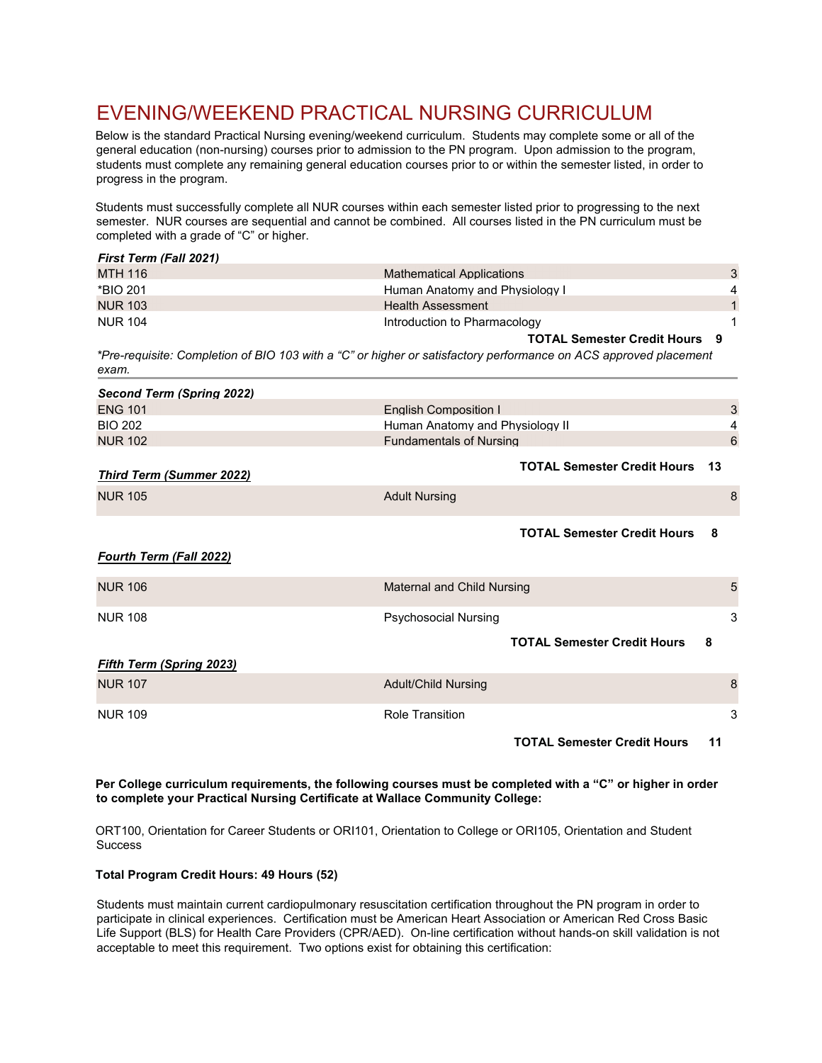## EVENING/WEEKEND PRACTICAL NURSING CURRICULUM

Below is the standard Practical Nursing evening/weekend curriculum. Students may complete some or all of the general education (non-nursing) courses prior to admission to the PN program. Upon admission to the program, students must complete any remaining general education courses prior to or within the semester listed, in order to progress in the program.

Students must successfully complete all NUR courses within each semester listed prior to progressing to the next semester. NUR courses are sequential and cannot be combined. All courses listed in the PN curriculum must be completed with a grade of "C" or higher.

| <b>First Term (Fall 2021)</b>                                                                                             |                                          |              |
|---------------------------------------------------------------------------------------------------------------------------|------------------------------------------|--------------|
| <b>MTH 116</b>                                                                                                            | <b>Mathematical Applications</b>         | 3            |
| *BIO 201                                                                                                                  | Human Anatomy and Physiology I           | 4            |
| <b>NUR 103</b>                                                                                                            | <b>Health Assessment</b>                 | $\mathbf{1}$ |
| <b>NUR 104</b>                                                                                                            | Introduction to Pharmacology             | 1            |
|                                                                                                                           | <b>TOTAL Semester Credit Hours 9</b>     |              |
| *Pre-requisite: Completion of BIO 103 with a "C" or higher or satisfactory performance on ACS approved placement<br>exam. |                                          |              |
| Second Term (Spring 2022)                                                                                                 |                                          |              |
| <b>ENG 101</b>                                                                                                            | <b>English Composition I</b>             | 3            |
| <b>BIO 202</b>                                                                                                            | Human Anatomy and Physiology II          | 4            |
| <b>NUR 102</b>                                                                                                            | <b>Fundamentals of Nursing</b>           | 6            |
| <b>Third Term (Summer 2022)</b>                                                                                           | <b>TOTAL Semester Credit Hours</b><br>13 |              |
| <b>NUR 105</b>                                                                                                            | <b>Adult Nursing</b>                     | 8            |
| <b>Fourth Term (Fall 2022)</b>                                                                                            | <b>TOTAL Semester Credit Hours</b><br>8  |              |
| <b>NUR 106</b>                                                                                                            | <b>Maternal and Child Nursing</b>        | 5            |
| <b>NUR 108</b>                                                                                                            | <b>Psychosocial Nursing</b>              | 3            |
| <b>Fifth Term (Spring 2023)</b>                                                                                           | <b>TOTAL Semester Credit Hours</b><br>8  |              |
| <b>NUR 107</b>                                                                                                            | <b>Adult/Child Nursing</b>               | 8            |

NUR 109 **Role Transition 3 Role Transition 3** 

**TOTAL Semester Credit Hours 11** 

**Per College curriculum requirements, the following courses must be completed with a "C" or higher in order to complete your Practical Nursing Certificate at Wallace Community College:**

ORT100, Orientation for Career Students or ORI101, Orientation to College or ORI105, Orientation and Student **Success** 

## **Total Program Credit Hours: 49 Hours (52)**

Students must maintain current cardiopulmonary resuscitation certification throughout the PN program in order to participate in clinical experiences. Certification must be American Heart Association or American Red Cross Basic Life Support (BLS) for Health Care Providers (CPR/AED). On-line certification without hands-on skill validation is not acceptable to meet this requirement. Two options exist for obtaining this certification: